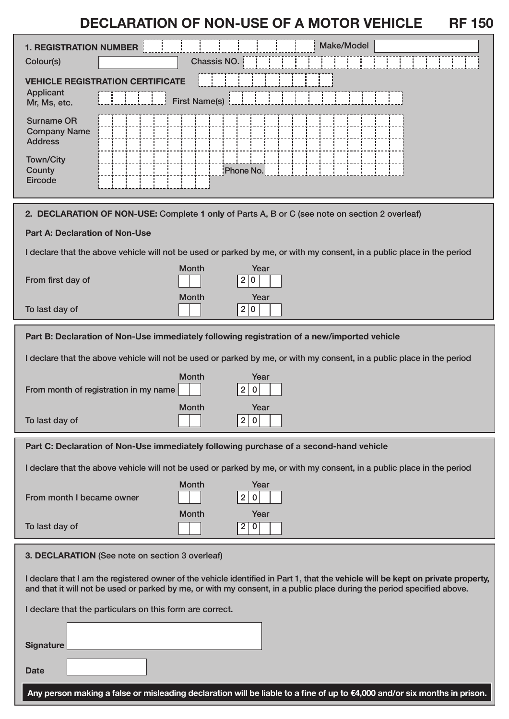# **DECLARATION OF NON-USE OF A MOTOR VEHICLE RF 150**

| <b>1. REGISTRATION NUMBER</b><br>Colour(s)                                                                                                                                                                                                                 | <b>Make/Model</b><br>Chassis NO.                                                                                          |
|------------------------------------------------------------------------------------------------------------------------------------------------------------------------------------------------------------------------------------------------------------|---------------------------------------------------------------------------------------------------------------------------|
| <b>VEHICLE REGISTRATION</b><br><b>CERTIFICATE</b><br><b>Applicant</b><br><b>First Name(s)</b><br>Mr, Ms, etc.                                                                                                                                              |                                                                                                                           |
| <b>Surname OR</b><br><b>Company Name</b><br><b>Address</b>                                                                                                                                                                                                 |                                                                                                                           |
| <b>Town/City</b><br>County<br>Eircode                                                                                                                                                                                                                      | Phone No.                                                                                                                 |
| 2. DECLARATION OF NON-USE: Complete 1 only of Parts A, B or C (see note on section 2 overleaf)                                                                                                                                                             |                                                                                                                           |
| <b>Part A: Declaration of Non-Use</b>                                                                                                                                                                                                                      |                                                                                                                           |
| I declare that the above vehicle will not be used or parked by me, or with my consent, in a public place in the period                                                                                                                                     |                                                                                                                           |
| From first day of                                                                                                                                                                                                                                          | <b>Month</b><br>Year<br>$\mathbf{2}$<br>$\bf{0}$                                                                          |
| To last day of                                                                                                                                                                                                                                             | <b>Month</b><br>Year<br>2 <sub>1</sub><br>$\overline{0}$                                                                  |
| Part B: Declaration of Non-Use immediately following registration of a new/imported vehicle                                                                                                                                                                |                                                                                                                           |
| I declare that the above vehicle will not be used or parked by me, or with my consent, in a public place in the period                                                                                                                                     |                                                                                                                           |
| From month of registration in my name                                                                                                                                                                                                                      | <b>Month</b><br>Year<br>$\overline{2}$<br>$\bf{0}$                                                                        |
| To last day of                                                                                                                                                                                                                                             | <b>Month</b><br>Year<br>2 0                                                                                               |
| Part C: Declaration of Non-Use immediately following purchase of a second-hand vehicle                                                                                                                                                                     |                                                                                                                           |
| I declare that the above vehicle will not be used or parked by me, or with my consent, in a public place in the period                                                                                                                                     |                                                                                                                           |
| From month I became owner                                                                                                                                                                                                                                  | <b>Month</b><br>Year<br>$\overline{2}$<br>$\pmb{0}$                                                                       |
| To last day of                                                                                                                                                                                                                                             | <b>Month</b><br>Year<br>$\overline{2}$<br> 0                                                                              |
| 3. DECLARATION (See note on section 3 overleaf)                                                                                                                                                                                                            |                                                                                                                           |
| I declare that I am the registered owner of the vehicle identified in Part 1, that the vehicle will be kept on private property,<br>and that it will not be used or parked by me, or with my consent, in a public place during the period specified above. |                                                                                                                           |
| I declare that the particulars on this form are correct.                                                                                                                                                                                                   |                                                                                                                           |
| <b>Signature</b>                                                                                                                                                                                                                                           |                                                                                                                           |
| <b>Date</b>                                                                                                                                                                                                                                                |                                                                                                                           |
|                                                                                                                                                                                                                                                            | Any person making a false or misleading declaration will be liable to a fine of up to €4,000 and/or six months in prison. |

İ